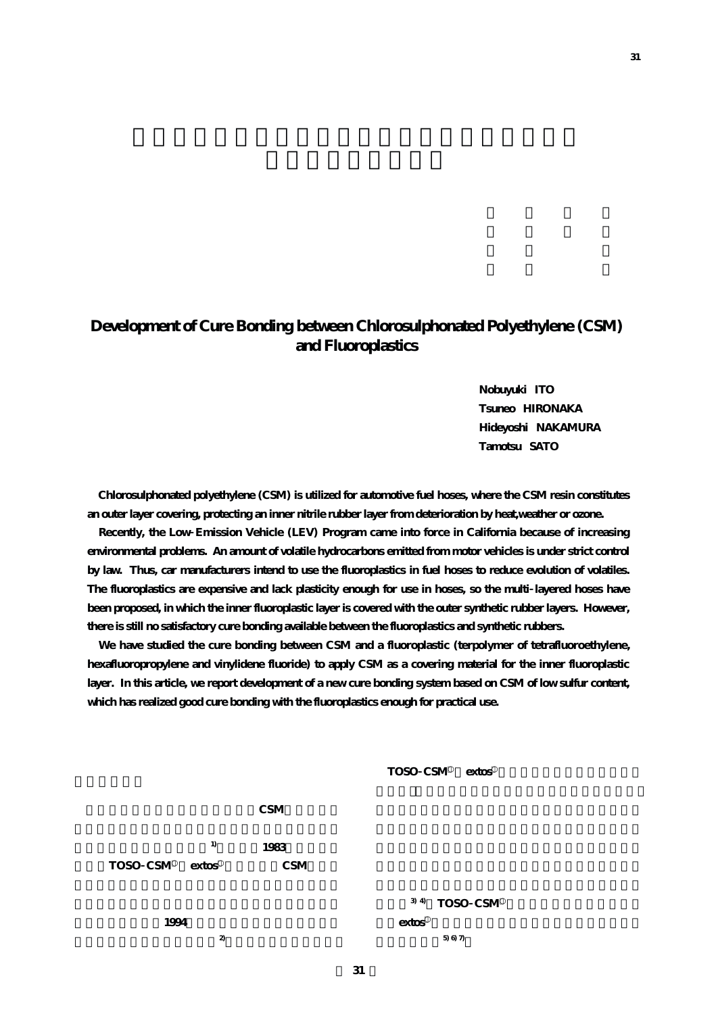## **Development of Cure Bonding between Chlorosulphonated Polyethylene (CSM) and Fluoroplastics**

**Nobuyuki ITO Tsuneo HIRONAKA Hideyoshi NAKAMURA Tamotsu SATO**

**Chlorosulphonated polyethylene (CSM) is utilized for automotive fuel hoses, where the CSM resin constitutes an outer layer covering, protecting an inner nitrile rubber layer from deterioration by heat,weather or ozone.**

**Recently, the Low Emission Vehicle (LEV) Program came into force in California because of increasing environmental problems. An amount of volatile hydrocarbons emitted from motor vehicles is under strict control by law. Thus, car manufacturers intend to use the fluoroplastics in fuel hoses to reduce evolution of volatiles. The fluoroplastics are expensive and lack plasticity enough for use in hoses, so the multi layered hoses have been proposed, in which the inner fluoroplastic layer is covered with the outer synthetic rubber layers. However, there is still no satisfactory cure bonding available between the fluoroplastics and synthetic rubbers.**

**We have studied the cure bonding between CSM and a fluoroplastic (terpolymer of tetrafluoroethylene, hexafluoropropylene and vinylidene fluoride) to apply CSM as a covering material for the inner fluoroplastic layer. In this article, we report development of a new cure bonding system based on CSM of low sulfur content, which has realized good cure bonding with the fluoroplastics enough for practical use.**

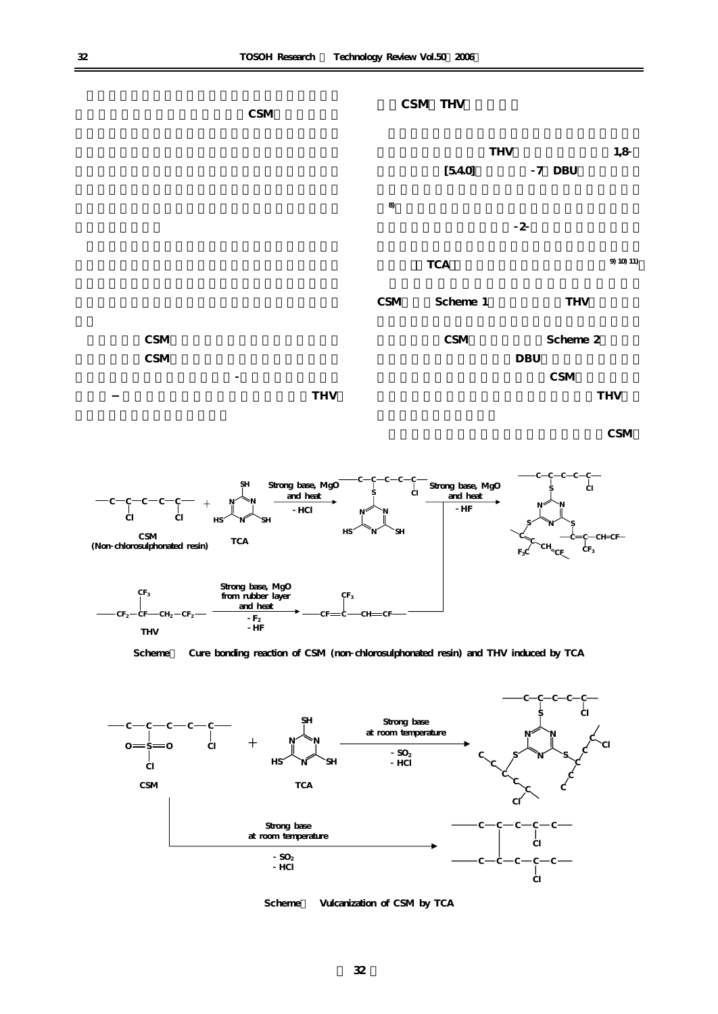

**CSM** 



**Scheme** Cure bonding reaction of CSM (non chlorosulphonated resin) and THV induced by TCA



Scheme Vulcanization of CSM by TCA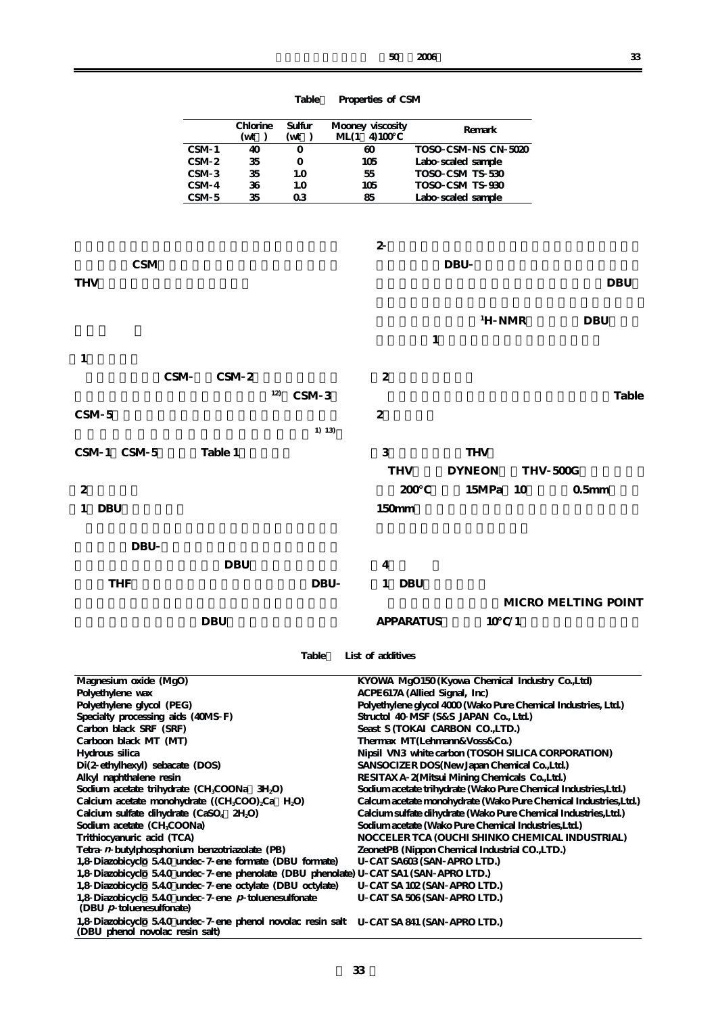| ٠      | ٠        | I      |  |
|--------|----------|--------|--|
|        |          | ٦      |  |
| $\sim$ | ٠<br>. . | I<br>٠ |  |

|                                                                                                                                                         |                                      | Chlorine<br>$(\mathrm{wt})$ | Sulfur<br>$(\mathbf{wt})$ | $ML(1 \ 4)100$ | Mooney viscosity                                                          |                  |            | Remark                             |                                                                                               |                                                                  |            |
|---------------------------------------------------------------------------------------------------------------------------------------------------------|--------------------------------------|-----------------------------|---------------------------|----------------|---------------------------------------------------------------------------|------------------|------------|------------------------------------|-----------------------------------------------------------------------------------------------|------------------------------------------------------------------|------------|
|                                                                                                                                                         | CSM 1                                | 40                          | 0                         |                | $\boldsymbol{\omega}$                                                     |                  |            | TOSO CSM NS CN 5020                |                                                                                               |                                                                  |            |
|                                                                                                                                                         | CSM <sub>2</sub>                     | 35                          | 0                         |                | 105                                                                       |                  |            | Labo scaled sample                 |                                                                                               |                                                                  |            |
|                                                                                                                                                         | CSM <sub>3</sub><br>CSM <sub>4</sub> | 35<br>36                    | 1.0<br>1.0                |                | 55<br>105                                                                 |                  |            | TOSO CSM TS 530<br>TOSO CSM TS 930 |                                                                                               |                                                                  |            |
|                                                                                                                                                         | CSM <sub>5</sub>                     | 35                          | 03                        |                | 85                                                                        |                  |            | Labo scaled sample                 |                                                                                               |                                                                  |            |
|                                                                                                                                                         |                                      |                             |                           |                |                                                                           |                  |            |                                    |                                                                                               |                                                                  |            |
|                                                                                                                                                         |                                      |                             |                           |                | $\boldsymbol{2}$                                                          |                  |            |                                    |                                                                                               |                                                                  |            |
| <b>CSM</b>                                                                                                                                              |                                      |                             |                           |                |                                                                           |                  | <b>DBU</b> |                                    |                                                                                               |                                                                  |            |
|                                                                                                                                                         |                                      |                             |                           |                |                                                                           |                  |            |                                    |                                                                                               |                                                                  |            |
| <b>THV</b>                                                                                                                                              |                                      |                             |                           |                |                                                                           |                  |            |                                    |                                                                                               |                                                                  | <b>DBU</b> |
|                                                                                                                                                         |                                      |                             |                           |                |                                                                           |                  |            |                                    |                                                                                               |                                                                  |            |
|                                                                                                                                                         |                                      |                             |                           |                |                                                                           |                  |            | <sup>1</sup> H NMR                 |                                                                                               | <b>DBU</b>                                                       |            |
|                                                                                                                                                         |                                      |                             |                           |                |                                                                           | $\mathbf{1}$     |            |                                    |                                                                                               |                                                                  |            |
| 1                                                                                                                                                       |                                      |                             |                           |                |                                                                           |                  |            |                                    |                                                                                               |                                                                  |            |
| CSM                                                                                                                                                     |                                      | CSM <sub>2</sub>            |                           |                | 2                                                                         |                  |            |                                    |                                                                                               |                                                                  |            |
|                                                                                                                                                         |                                      | 12)                         | CSM <sub>3</sub>          |                |                                                                           |                  |            |                                    |                                                                                               |                                                                  | Table      |
| CSM <sub>5</sub>                                                                                                                                        |                                      |                             |                           |                | 2                                                                         |                  |            |                                    |                                                                                               |                                                                  |            |
|                                                                                                                                                         |                                      |                             | 1) 13)                    |                |                                                                           |                  |            |                                    |                                                                                               |                                                                  |            |
|                                                                                                                                                         |                                      |                             |                           |                |                                                                           |                  |            |                                    |                                                                                               |                                                                  |            |
| CSM 1 CSM 5                                                                                                                                             | Table 1                              |                             |                           |                | 3                                                                         |                  |            | <b>THV</b>                         |                                                                                               |                                                                  |            |
|                                                                                                                                                         |                                      |                             |                           |                | <b>THV</b>                                                                |                  |            | <b>DYNEON</b>                      | THV 500G                                                                                      |                                                                  |            |
| 2                                                                                                                                                       |                                      |                             |                           |                |                                                                           | 200              |            | 15MPa                              | 10                                                                                            | 0.5 <sub>mm</sub>                                                |            |
| <b>DBU</b><br>1                                                                                                                                         |                                      |                             |                           |                | 150mm                                                                     |                  |            |                                    |                                                                                               |                                                                  |            |
|                                                                                                                                                         |                                      |                             |                           |                |                                                                           |                  |            |                                    |                                                                                               |                                                                  |            |
| <b>DBU</b>                                                                                                                                              |                                      |                             |                           |                |                                                                           |                  |            |                                    |                                                                                               |                                                                  |            |
|                                                                                                                                                         |                                      | <b>DBU</b>                  |                           |                | 4                                                                         |                  |            |                                    |                                                                                               |                                                                  |            |
| <b>THF</b>                                                                                                                                              |                                      |                             | <b>DBU</b>                |                |                                                                           |                  |            |                                    |                                                                                               |                                                                  |            |
|                                                                                                                                                         |                                      |                             |                           |                | 1 DBU                                                                     |                  |            |                                    |                                                                                               |                                                                  |            |
|                                                                                                                                                         |                                      |                             |                           |                |                                                                           |                  |            |                                    |                                                                                               | MICRO MELTING POINT                                              |            |
|                                                                                                                                                         | <b>DBU</b>                           |                             |                           |                |                                                                           | <b>APPARATUS</b> |            | 10 / 1                             |                                                                                               |                                                                  |            |
|                                                                                                                                                         |                                      |                             |                           |                |                                                                           |                  |            |                                    |                                                                                               |                                                                  |            |
|                                                                                                                                                         |                                      |                             |                           |                | Table List of additives                                                   |                  |            |                                    |                                                                                               |                                                                  |            |
| Magnesium oxide (MgO)                                                                                                                                   |                                      |                             |                           |                |                                                                           |                  |            |                                    | KYOWA MgO150(Kyowa Chemical Industry Co.,Ltd)                                                 |                                                                  |            |
| Polyethylene wax                                                                                                                                        |                                      |                             |                           |                | ACPE617A (Allied Signal, Inc)                                             |                  |            |                                    |                                                                                               |                                                                  |            |
| Polyethylene glycol (PEG)                                                                                                                               |                                      |                             |                           |                |                                                                           |                  |            |                                    |                                                                                               | Polyethylene glycol 4000 (Wako Pure Chemical Industries, Ltd.)   |            |
| Specialty processing aids (40MS F)<br>Carbon black SRF (SRF)                                                                                            |                                      |                             |                           |                | Structol 40 MSF (S&S JAPAN Co., Ltd.)<br>Seast S (TOKAI CARBON CO., LTD.) |                  |            |                                    |                                                                                               |                                                                  |            |
| Carboon black MT (MT)                                                                                                                                   |                                      |                             |                           |                | Thermax MT(Lehmann&Voss&Co.)                                              |                  |            |                                    |                                                                                               |                                                                  |            |
| Hydrous silica                                                                                                                                          |                                      |                             |                           |                |                                                                           |                  |            |                                    |                                                                                               | Nipsil VN3 white carbon (TOSOH SILICA CORPORATION)               |            |
| Di(2 ethylhexyl) sebacate (DOS)<br>Alkyl naphthalene resin                                                                                              |                                      |                             |                           |                |                                                                           |                  |            |                                    | SANSOCIZER DOS(New Japan Chemical Co., Ltd.)<br>RESITAXA 2(Mitsui Mining Chemicals Co., Ltd.) |                                                                  |            |
| Sodium acetate trihydrate (CH <sub>3</sub> COONa 3H <sub>2</sub> O)                                                                                     |                                      |                             |                           |                |                                                                           |                  |            |                                    |                                                                                               | Sodium acetate trihydrate (Wako Pure Chemical Industries, Ltd.)  |            |
| Calcium acetate monohydrate ((CH <sub>3</sub> COO) <sub>2</sub> Ca H <sub>2</sub> O)<br>Calcium sulfate dihydrate (CaSO <sub>4</sub> 2H <sub>2</sub> O) |                                      |                             |                           |                |                                                                           |                  |            |                                    |                                                                                               | Calcum acetate monohydrate (Wako Pure Chemical Industries, Ltd.) |            |
| Sodium acetate (CH <sub>3</sub> COONa)                                                                                                                  |                                      |                             |                           |                |                                                                           |                  |            |                                    | Sodium acetate (Wako Pure Chemical Industries, Ltd.)                                          | Calcium sulfate dihydrate (Wako Pure Chemical Industries, Ltd.)  |            |
| Trithiocyanuric acid (TCA)                                                                                                                              |                                      |                             |                           |                |                                                                           |                  |            |                                    |                                                                                               | NOCCELER TCA (OUCHI SHINKO CHEMICAL INDUSTRIAL)                  |            |
| Tetra n butylphosphonium benzotriazolate (PB)<br>1,8 Diazobicyclo 540 undec 7 ene formate (DBU formate)                                                 |                                      |                             |                           |                | U CAT SA603 (SAN APRO LTD.)                                               |                  |            |                                    | ZeonetPB (Nippon Chemical Industrial CO.,LTD.)                                                |                                                                  |            |
| 1,8 Diazobicyclo 540 undec 7 ene phenolate (DBU phenolate) U CAT SA1 (SAN APRO LTD.)                                                                    |                                      |                             |                           |                |                                                                           |                  |            |                                    |                                                                                               |                                                                  |            |
| 1,8 Diazobicyclo 540 undec 7 ene octylate (DBU octylate)                                                                                                |                                      |                             |                           |                | U CAT SA 102 (SAN APRO LTD.)                                              |                  |            |                                    |                                                                                               |                                                                  |            |
| 1,8 Diazobicyclo 5.40 undec 7 ene $p$ toluenes ulfonate<br>$(DBU p$ toluenesulfonate)                                                                   |                                      |                             |                           |                | U CAT SA 506 (SAN APRO LTD.)                                              |                  |            |                                    |                                                                                               |                                                                  |            |
| 1,8 Diazobicyclo 540 undec 7 ene phenol novolac resin salt U CAT SA 841 (SAN APRO LTD.)<br>(DBU phenol novolac resin salt)                              |                                      |                             |                           |                |                                                                           |                  |            |                                    |                                                                                               |                                                                  |            |

**Table1 Properties of CSM**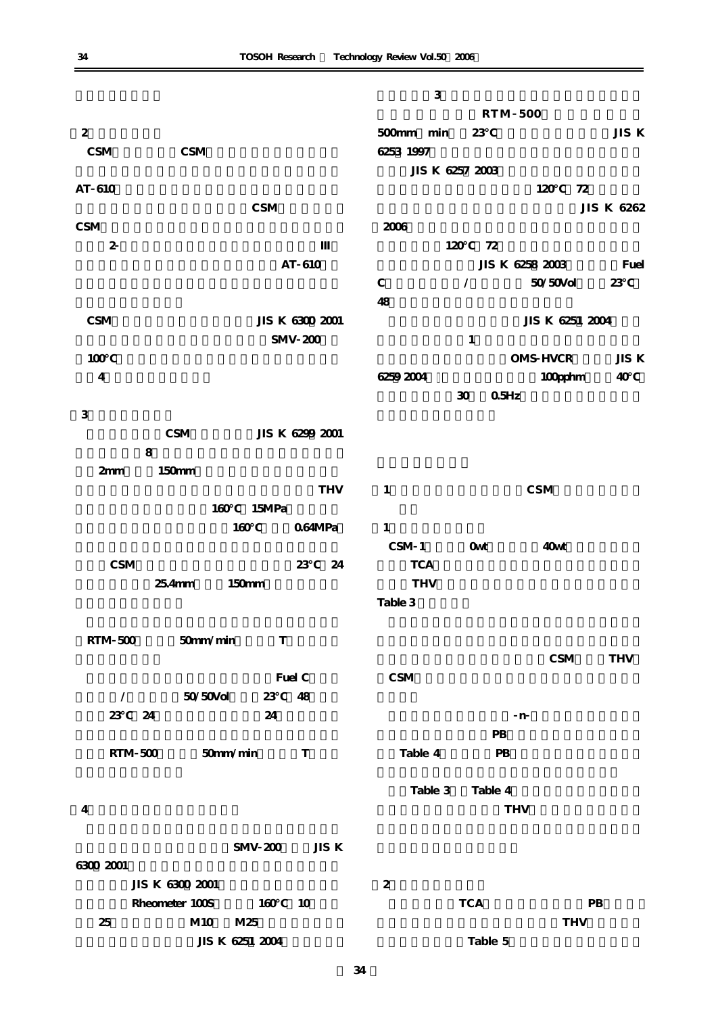|                         |                             | 3               |                  |                 |            |
|-------------------------|-----------------------------|-----------------|------------------|-----------------|------------|
|                         |                             |                 |                  | <b>RTM 500</b>  |            |
| $\overline{2}$          |                             | 500mm min       | 23               |                 | JIS K      |
| $\mathbf{CSM}$          | CSM                         | 6253 1997       |                  |                 |            |
|                         |                             | JIS K 6257 2003 |                  |                 |            |
| AT 610                  |                             |                 |                  | 72<br>120       |            |
|                         | $\mathbf{CSM}$              |                 |                  |                 | JIS K 6262 |
| CSM                     |                             | 2006            |                  |                 |            |
| $\boldsymbol{2}$        |                             | 120             | 72               |                 |            |
|                         | AT 610                      |                 |                  | JIS K 6258 2003 | Fuel       |
|                         |                             | $\mathbf C$     | $\sqrt{2}$       | 50/50Vol        | 23         |
|                         |                             | 48              |                  |                 |            |
| CSM                     | JIS K 6300 2001             |                 |                  | JIS K 6251 2004 |            |
|                         | <b>SMV 200</b>              |                 | $\mathbf{1}$     |                 |            |
| 100                     |                             |                 |                  | OMS HVCR        | JIS K      |
| $\overline{\mathbf{4}}$ |                             | 6259 2004       |                  | 100pphm         | 40         |
|                         |                             |                 | 0.5Hz<br>30      |                 |            |
| 3                       |                             |                 |                  |                 |            |
|                         | CSM<br>JIS K 6299 2001      |                 |                  |                 |            |
|                         | 8                           |                 |                  |                 |            |
| 2mm                     | 150mm                       |                 |                  |                 |            |
|                         | <b>THV</b><br>15MPa<br>160  | $\mathbf{1}$    |                  | <b>CSM</b>      |            |
|                         | 160<br>064MPa               | $\mathbf{1}$    |                  |                 |            |
|                         |                             | CSM 1           | <b>Owt</b>       | 40wt            |            |
| CSM                     | 23<br>24                    | <b>TCA</b>      |                  |                 |            |
|                         | $254$ mm<br>150mm           | <b>THV</b>      |                  |                 |            |
|                         |                             | Table 3         |                  |                 |            |
|                         |                             |                 |                  |                 |            |
| <b>RTM 500</b>          | 50mm/min<br>$\mathbf T$     |                 |                  |                 |            |
|                         |                             |                 |                  | CSM             | <b>THV</b> |
|                         | Fuel C                      | CSM             |                  |                 |            |
| $\sqrt{2}$              | 50/50Vol<br>23<br>48        |                 |                  |                 |            |
| 23                      | 24<br>24                    |                 |                  | $\mathbf n$     |            |
|                         |                             |                 | ${\bf P}{\bf B}$ |                 |            |
| <b>RTM 500</b>          | 50mm/min<br>T               | Table 4         | PB               |                 |            |
|                         |                             |                 |                  |                 |            |
|                         |                             | Table 3         | Table 4          |                 |            |
| 4                       |                             |                 |                  | <b>THV</b>      |            |
|                         |                             |                 |                  |                 |            |
|                         | JIS K<br><b>SMV 200</b>     |                 |                  |                 |            |
| 6300 2001               |                             |                 |                  |                 |            |
|                         | JIS K 6300 2001             | $\overline{2}$  |                  |                 |            |
|                         | Rheometer 100S<br>160<br>10 |                 | <b>TCA</b>       | PB              |            |
| 25                      | M10<br>M25                  |                 |                  | <b>THV</b>      |            |
|                         | JIS K 6251 2004             |                 | Table 5          |                 |            |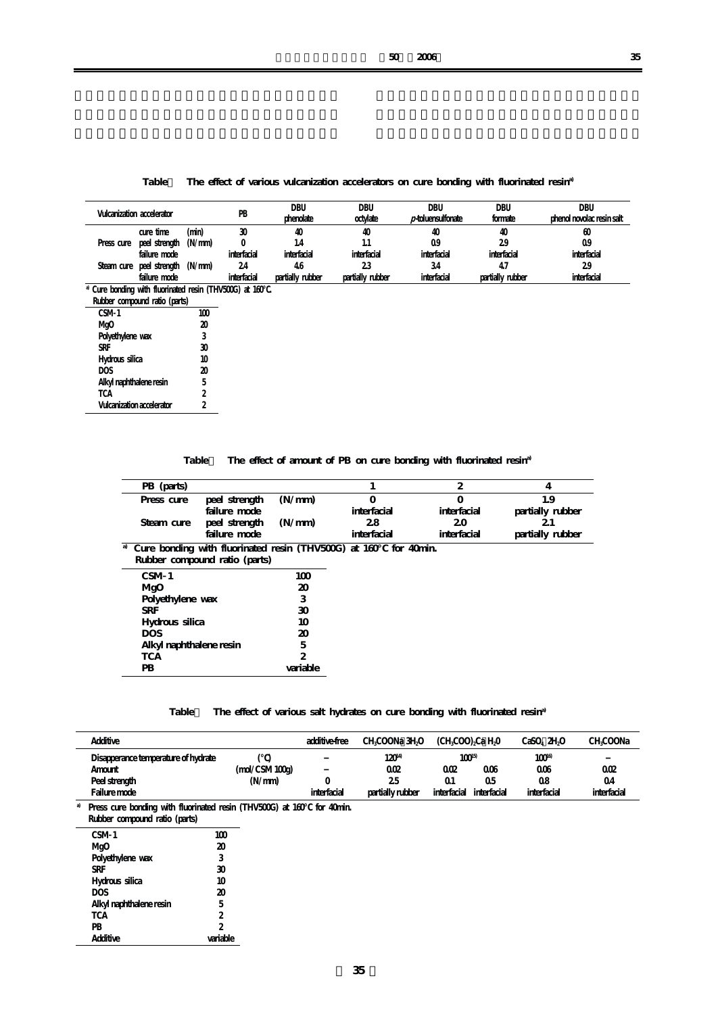Table The effect of various vulcanization accelerators on cure bonding with fluorinated resin<sup>a)</sup>

|            | Vulcanization accelerator       |       | PB          | DBU<br>phenolate | DBU<br>octylate  | <b>DBU</b><br>$p$ -toluensulfonate | DBU<br>formate   | DBU<br>phenol novolac resin salt |
|------------|---------------------------------|-------|-------------|------------------|------------------|------------------------------------|------------------|----------------------------------|
|            | cure time                       | (min) | 30          | 40               | 40               | 40                                 | 40               | $\alpha$                         |
| Press cure | peel strength $(N/mm)$          |       |             | .4               |                  | 09                                 | 29               | 09                               |
|            | failure mode                    |       | interfacial | interfacial      | interfacial      | interfacial                        | interfacial      | interfacial                      |
|            | Steam cure peel strength (N/mm) |       | 24          | 46               | 23               | 34                                 |                  | 29                               |
|            | failure mode                    |       | interfacial | partially rubber | partially rubber | interfacial                        | partially rubber | interfacial                      |

**a) Cure bonding with fluorinated resin (THV500G) at 160℃.**

| Rubber compound ratio (parts) |     |
|-------------------------------|-----|
| CSM <sub>1</sub>              | 100 |
| Mg <sub>0</sub>               | 20  |
| Polyethylene wax              | 3   |
| <b>SRF</b>                    | 30  |
| Hydrous silica                | 10  |
| <b>DOS</b>                    | 20  |
| Alkyl naphthalene resin       | 5   |
|                               |     |

**TCA Vulcanization accelerator 2 2**

Table The effect of amount of PB on cure bonding with fluorinated resin<sup>a)</sup>

| PB (parts)                                                                   |               |          |             | 2           | 4                |
|------------------------------------------------------------------------------|---------------|----------|-------------|-------------|------------------|
| Press cure                                                                   | peel strength | (N/mm)   | $\Omega$    | $\Omega$    | 1.9              |
|                                                                              | failure mode  |          | interfacial | interfacial | partially rubber |
| Steam cure                                                                   | peel strength | (N/mm)   | 28          | 20          | 21               |
|                                                                              | failure mode  |          | interfacial | interfacial | partially rubber |
| <sup>a</sup> Cure bonding with fluorinated resin (THV500G) at 160 for 40min. |               |          |             |             |                  |
| Rubber compound ratio (parts)                                                |               |          |             |             |                  |
| CSM <sub>1</sub>                                                             |               | 100      |             |             |                  |
| MgO                                                                          |               | 20       |             |             |                  |
| Polyethylene wax                                                             |               | 3        |             |             |                  |
| <b>SRF</b>                                                                   |               | 30       |             |             |                  |
| Hydrous silica                                                               |               | 10       |             |             |                  |
| <b>DOS</b>                                                                   |               | 20       |             |             |                  |
| Alkyl naphthalene resin                                                      |               | 5        |             |             |                  |
| <b>TCA</b>                                                                   |               | 2        |             |             |                  |
| PB                                                                           |               | variable |             |             |                  |

## Table The effect of various salt hydrates on cure bonding with fluorinated resin<sup>a</sup>

|    | Additive                                                                                                                       |                                       | additive-free | CH.COONa 3H.O                              | (CHCOO) Ca HO                         |                          | CaSO <sub>4</sub> 2H <sub>4</sub> O           | CH.COONa                 |
|----|--------------------------------------------------------------------------------------------------------------------------------|---------------------------------------|---------------|--------------------------------------------|---------------------------------------|--------------------------|-----------------------------------------------|--------------------------|
|    | Disapperance temperature of hydrate<br>Amount<br>Peel strength<br>Failure mode                                                 | $\text{mol}/\text{CSM}100g$<br>(N/mm) | interfacial   | $120^{4}$<br>002<br>25<br>partially rubber | $100^{5}$<br>002<br>Ω1<br>interfacial | 006<br>05<br>interfacial | 100 <sup>16</sup><br>006<br>08<br>interfacial | 002<br>04<br>interfacial |
| a) | Press cure bonding with fluorinated resin (THV500G) at 160 for 40min.<br>Rubber compound ratio (parts)<br>-----<br>$\sim$ $ -$ |                                       |               |                                            |                                       |                          |                                               |                          |

| CSM 1                   | 10D            |
|-------------------------|----------------|
| MgO                     | 20             |
| Polyethylene wax        | 3              |
| <b>SRF</b>              | 30             |
| Hydrous silica          | 10             |
| <b>DOS</b>              | 20             |
| Alkyl naphthalene resin | 5              |
| <b>TCA</b>              | $\overline{c}$ |
| PB                      | $\overline{c}$ |
| Additive                | variable       |
|                         |                |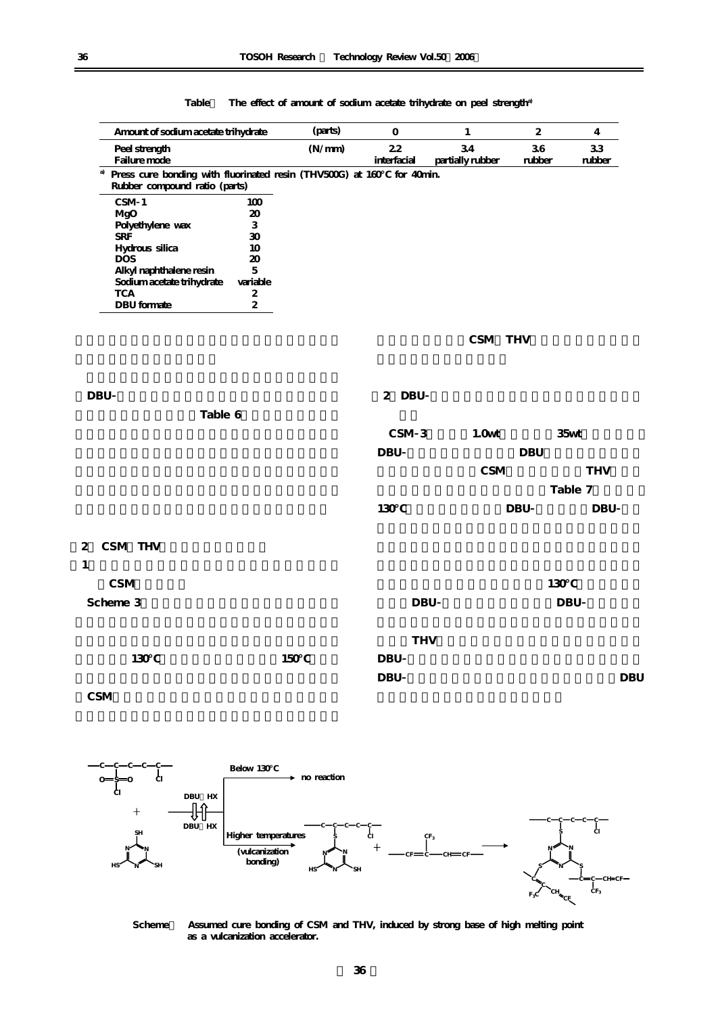| Amount of sodium acetate trihydrate                                                               |                            | (parts) | $\mathbf 0$                                                                                                                                                                               | $\mathbf{1}$           | $\boldsymbol{2}$ | $\overline{4}$        |
|---------------------------------------------------------------------------------------------------|----------------------------|---------|-------------------------------------------------------------------------------------------------------------------------------------------------------------------------------------------|------------------------|------------------|-----------------------|
| Peel strength<br>Failure mode                                                                     |                            | (N/mm)  | 22<br>$\operatorname*{interfacial}% \left( \mathcal{M}\right) \equiv\operatorname*{interfacial}% \left( \mathcal{M}\right) \equiv\operatorname*{tr}_{{\bf a}}\left( \mathcal{M}\right) ,$ | 34<br>partially rubber | 36<br>rubber     | 33<br>$\mbox{rubber}$ |
| Press cure bonding with fluorinated resin (THV500G) at 160<br>a)<br>Rubber compound ratio (parts) |                            |         | for 40min.                                                                                                                                                                                |                        |                  |                       |
| CSM <sub>1</sub>                                                                                  | 100                        |         |                                                                                                                                                                                           |                        |                  |                       |
| MgO                                                                                               | 20                         |         |                                                                                                                                                                                           |                        |                  |                       |
| Polyethylene wax                                                                                  | 3                          |         |                                                                                                                                                                                           |                        |                  |                       |
| SRF                                                                                               | 30                         |         |                                                                                                                                                                                           |                        |                  |                       |
| Hydrous silica                                                                                    | 10                         |         |                                                                                                                                                                                           |                        |                  |                       |
| <b>DOS</b>                                                                                        | $\boldsymbol{\mathsf{20}}$ |         |                                                                                                                                                                                           |                        |                  |                       |
| Alkyl naphthalene resin                                                                           | $\overline{5}$             |         |                                                                                                                                                                                           |                        |                  |                       |
| Sodium acetate trihydrate                                                                         | variable                   |         |                                                                                                                                                                                           |                        |                  |                       |
| <b>TCA</b>                                                                                        | $\boldsymbol{2}$           |         |                                                                                                                                                                                           |                        |                  |                       |
| <b>DBU</b> formate                                                                                | $\boldsymbol{2}$           |         |                                                                                                                                                                                           |                        |                  |                       |
|                                                                                                   |                            |         |                                                                                                                                                                                           | CSM THV                |                  |                       |
|                                                                                                   |                            |         |                                                                                                                                                                                           |                        |                  |                       |
|                                                                                                   |                            |         |                                                                                                                                                                                           |                        |                  |                       |
| <b>DBU</b>                                                                                        |                            |         | 2 DBU                                                                                                                                                                                     |                        |                  |                       |
| Table 6                                                                                           |                            |         |                                                                                                                                                                                           |                        |                  |                       |
|                                                                                                   |                            |         | CSM 3                                                                                                                                                                                     | 1.0 <sub>wt</sub>      |                  | 35 <sub>wt</sub>      |
|                                                                                                   |                            |         | <b>DBU</b>                                                                                                                                                                                |                        | <b>DBU</b>       |                       |
|                                                                                                   |                            |         |                                                                                                                                                                                           | CSM                    |                  | <b>THV</b>            |
|                                                                                                   |                            |         |                                                                                                                                                                                           |                        |                  | Table 7               |
|                                                                                                   |                            |         | 130                                                                                                                                                                                       |                        | <b>DBU</b>       | <b>DBU</b>            |
| CSM THV                                                                                           |                            |         |                                                                                                                                                                                           |                        |                  |                       |
|                                                                                                   |                            |         |                                                                                                                                                                                           |                        |                  |                       |
|                                                                                                   |                            |         |                                                                                                                                                                                           |                        |                  |                       |
| <b>CSM</b>                                                                                        |                            |         |                                                                                                                                                                                           |                        | 130              |                       |
|                                                                                                   |                            |         |                                                                                                                                                                                           |                        |                  |                       |
| Scheme 3                                                                                          |                            |         | <b>DBU</b>                                                                                                                                                                                |                        |                  | <b>DBU</b>            |
|                                                                                                   |                            |         | <b>THV</b>                                                                                                                                                                                |                        |                  |                       |
| 130                                                                                               | 150                        |         | <b>DBU</b>                                                                                                                                                                                |                        |                  |                       |
|                                                                                                   |                            |         |                                                                                                                                                                                           |                        |                  |                       |
|                                                                                                   |                            |         | <b>DBU</b>                                                                                                                                                                                |                        |                  | <b>DBU</b>            |
| CSM                                                                                               |                            |         |                                                                                                                                                                                           |                        |                  |                       |

Table The effect of amount of sodium acetate trihydrate on peel strength<sup>a)</sup>



Scheme **Assumed cure bonding of CSM and THV, induced by strong base of high melting point** as a vulcanization accelerator.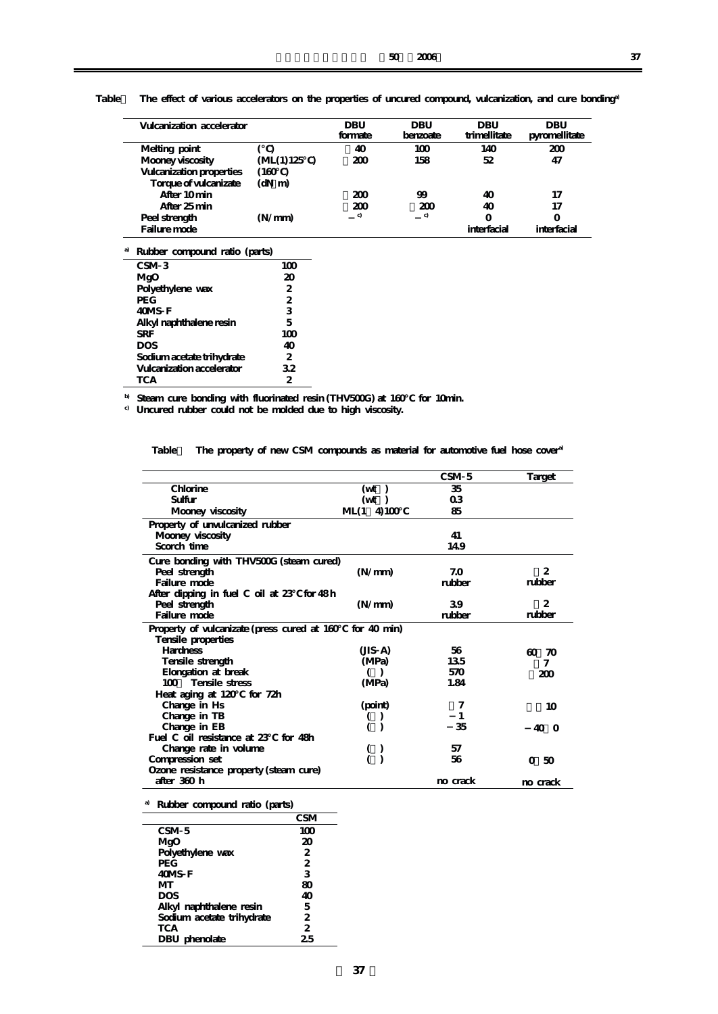| Vulcanization accelerator |             | DBU<br>formate | DBU<br>benzoate | DBU<br>trimellitate | DBU<br>pyromellitate |
|---------------------------|-------------|----------------|-----------------|---------------------|----------------------|
| Melting point             |             | 40             | 100             | 140                 | 200                  |
| Mooney viscosity          | (ML(1) 125) | 200            | 158             | 52                  | 47                   |
| Vulcanization properties  | (160)       |                |                 |                     |                      |
| Torque of vulcanizate     | $(dN \ m)$  |                |                 |                     |                      |
| After 10 min              |             | 200            | 99              | 40                  | 17                   |
| After 25 min              |             | 200            | 2M              | 40                  | 17                   |
| Peel strength             | (N/mm)      | c)             | c)              | O                   |                      |
| Failure mode              |             |                |                 | interfacial         | interfacial          |

Table The effect of various accelerators on the properties of uncured compound, vulcanization, and cure bonding<sup>®</sup>

| a) | Rubber compound ratio (parts) |     |
|----|-------------------------------|-----|
|    | CSM <sub>3</sub>              | 100 |
|    | MgO                           | 20  |
|    | Polyethylene wax              | 2.  |
|    | <b>PEG</b>                    | 2.  |
|    | 40MS F                        | 3   |
|    | Alkyl naphthalene resin       | 5   |
|    | <b>SRF</b>                    | 100 |
|    | <b>DOS</b>                    | 40  |
|    | Sodium acetate trihydrate     | 2.  |
|    | Vulcanization accelerator     | 32  |
|    | <b>TCA</b>                    | 2   |

**b) Steam cure bonding with fluorinated resin (THV500G) at 160℃ for 10min.**

**c) Uncured rubber could not be molded due to high viscosity.**

Table The property of new CSM compounds as material for automotive fuel hose cover<sup>a)</sup>

|                                             |                      | CSM <sub>5</sub> | Target          |
|---------------------------------------------|----------------------|------------------|-----------------|
| Chlorine                                    | $(\mathrm{wt})$      | 35               |                 |
| Sulfur                                      | $(\mathrm{wt})$      | 0 <sub>3</sub>   |                 |
| Mooney viscosity                            | 4100<br>ML(1)        | 85               |                 |
| Property of unvulcanized rubber             |                      |                  |                 |
| Mooney viscosity                            |                      | 41               |                 |
| Scorch time                                 |                      | 14.9             |                 |
| Cure bonding with THV500G (steam cured)     |                      |                  |                 |
| Peel strength                               | (N/mm)               | 7.0              | 2               |
| Failure mode                                |                      | rubber           | rubber          |
| After dipping in fuel C oil at 23 for 48h   |                      |                  |                 |
| Peel strength                               | (N/mm)               | 39               | 2               |
| Failure mode                                |                      | rubber           | rubber          |
| Property of vulcanizate (press cured at 160 | for $40 \text{ min}$ |                  |                 |
| Tensile properties                          |                      |                  |                 |
| <b>Hardness</b>                             | (JIS A)              | 56               | $\omega$<br>70  |
| Tensile strength                            | (MPa)                | 135              | 7               |
| Elongation at break                         | (                    | 570              | 200             |
| Tensile stress<br>$100 -$                   | (MPa)                | 1.84             |                 |
| Heat aging at 120 for 72h                   |                      |                  |                 |
| Change in Hs                                | (point)              | 7                | 10 <sup>2</sup> |
| Change in TB                                |                      |                  |                 |
| Change in EB                                |                      | 35               | 40 O            |
| Fuel C oil resistance at 23<br>for $48h$    |                      |                  |                 |
| Change rate in volume                       |                      | 57               |                 |
| Compression set                             |                      | 56               | 0,50            |
| Ozone resistance property (steam cure)      |                      |                  |                 |
| after 360 h                                 |                      | no crack         | no crack        |
|                                             |                      |                  |                 |

**a) Rubber compound ratio (parts)**

|                           | <b>CSM</b>     |
|---------------------------|----------------|
| CSM <sub>5</sub>          | 100            |
| MgO                       | 20             |
| Polyethylene wax          | $\mathbf{2}$   |
| <b>PEG</b>                | $\overline{2}$ |
| 40MS F                    | 3              |
| MТ                        | 80             |
| <b>DOS</b>                | 40             |
| Alkyl naphthalene resin   | 5              |
| Sodium acetate trihydrate | 2              |
| <b>TCA</b>                | 2              |
| DBU phenolate             | 25             |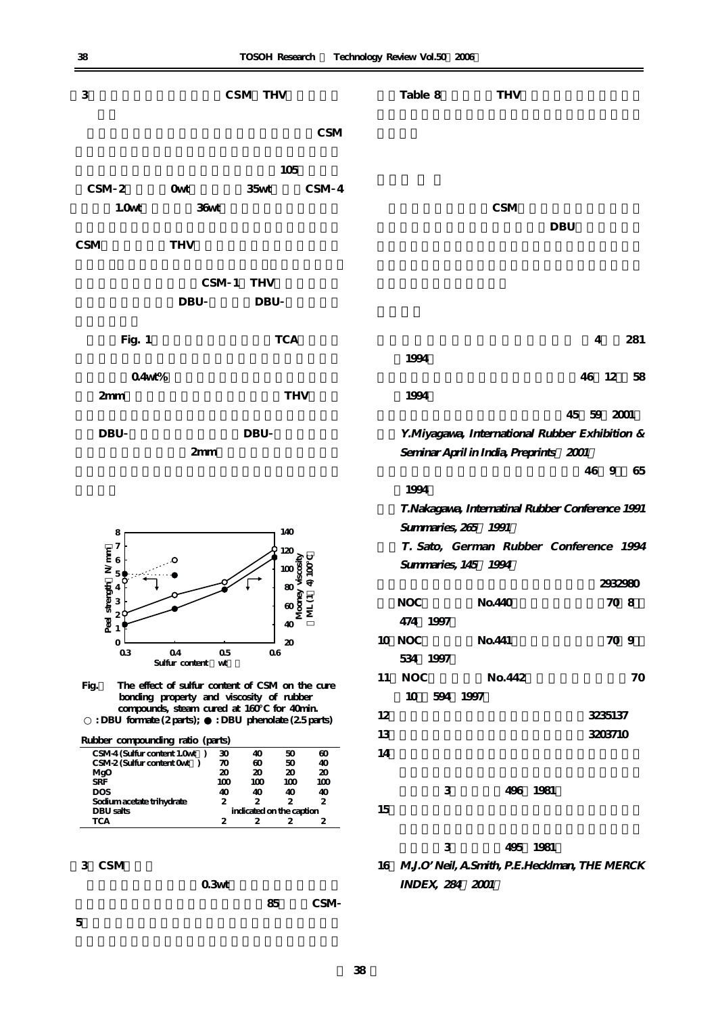| 3                                                                      |                                                                                             | CSM THV                       |                             |    | Table 8                                                       |                       | <b>THV</b>                                       |            |         |      |
|------------------------------------------------------------------------|---------------------------------------------------------------------------------------------|-------------------------------|-----------------------------|----|---------------------------------------------------------------|-----------------------|--------------------------------------------------|------------|---------|------|
|                                                                        |                                                                                             |                               | CSM                         |    |                                                               |                       |                                                  |            |         |      |
|                                                                        |                                                                                             | 105                           |                             |    |                                                               |                       |                                                  |            |         |      |
| CSM <sub>2</sub>                                                       | Owt                                                                                         | 35wt                          | CSM 4                       |    |                                                               |                       |                                                  |            |         |      |
| 1.0 <sub>wt</sub>                                                      | 36wt                                                                                        |                               |                             |    |                                                               |                       | CSM                                              |            |         |      |
|                                                                        |                                                                                             |                               |                             |    |                                                               |                       |                                                  | <b>DBU</b> |         |      |
| CSM                                                                    | <b>THV</b>                                                                                  |                               |                             |    |                                                               |                       |                                                  |            |         |      |
|                                                                        |                                                                                             | CSM 1 THV                     |                             |    |                                                               |                       |                                                  |            |         |      |
|                                                                        | <b>DBU</b>                                                                                  | <b>DBU</b>                    |                             |    |                                                               |                       |                                                  |            |         |      |
| Fig. 1                                                                 |                                                                                             | <b>TCA</b>                    |                             |    |                                                               |                       |                                                  |            | 4       | 281  |
|                                                                        |                                                                                             |                               |                             |    | 1994                                                          |                       |                                                  |            |         |      |
| 04wt%                                                                  |                                                                                             |                               |                             |    |                                                               |                       |                                                  |            | 46 12   | 58   |
| 2mm                                                                    |                                                                                             |                               | <b>THV</b>                  |    | 1994                                                          |                       |                                                  |            |         |      |
|                                                                        |                                                                                             |                               |                             |    |                                                               |                       |                                                  | 45 59 2001 |         |      |
| <b>DBU</b>                                                             |                                                                                             | <b>DBU</b>                    |                             |    |                                                               |                       | Y.Miyagawa, International Rubber Exhibition &    |            |         |      |
|                                                                        | 2mm                                                                                         |                               |                             |    |                                                               |                       | Seminar April in India, Preprints 2001           |            |         |      |
|                                                                        |                                                                                             |                               |                             |    |                                                               |                       |                                                  |            | 46 9    | 65   |
|                                                                        |                                                                                             |                               |                             |    | 1994                                                          |                       |                                                  |            |         |      |
|                                                                        |                                                                                             |                               |                             |    |                                                               |                       | T.Nakagawa, Internatinal Rubber Conference 1991  |            |         |      |
| 140<br>8                                                               |                                                                                             |                               |                             |    | Summaries, 265 1991<br>T. Sato, German Rubber Conference 1994 |                       |                                                  |            |         |      |
| 7                                                                      | Ω                                                                                           | 120                           |                             |    |                                                               |                       | Summaries, 145 1994                              |            |         |      |
| Peel strength $N/mm$<br>$\approx$ $\approx$ $\approx$ $\approx$ $\sim$ |                                                                                             |                               | $rac{100}{80}$<br>4100      |    |                                                               |                       |                                                  |            | 2932980 |      |
|                                                                        |                                                                                             | 80                            |                             |    | <b>NOC</b>                                                    |                       | No.440                                           |            |         | 70 8 |
|                                                                        |                                                                                             |                               | wood<br>Money<br>U<br>M     |    |                                                               | 474 1997              |                                                  |            |         |      |
| $\mathbf{O}$                                                           |                                                                                             | 40                            |                             |    | 10 NOC                                                        |                       | No.441                                           |            |         | 70 9 |
| 03                                                                     | 04<br>05                                                                                    | 20<br>06                      |                             |    |                                                               | 534 1997              |                                                  |            |         |      |
|                                                                        | Sulfur content<br>wt                                                                        |                               |                             | 11 | <b>NOC</b>                                                    |                       | No. 442                                          |            |         | 70   |
| Fig.                                                                   | The effect of sulfur content of CSM on the cure<br>bonding property and viscosity of rubber |                               |                             |    | 10                                                            | 594 1997              |                                                  |            |         |      |
|                                                                        | compounds, steam cured at 160 for 40min.                                                    |                               |                             | 12 |                                                               |                       |                                                  |            | 3235137 |      |
| : DBU formate (2 parts);                                               |                                                                                             | : DBU phenolate (25 parts)    |                             | 13 |                                                               |                       |                                                  |            | 3203710 |      |
| Rubber compounding ratio (parts)<br>CSM-4 (Sulfur content 1.0wt)       | 30                                                                                          | 40                            | 50<br>$\boldsymbol{\omega}$ | 14 |                                                               |                       |                                                  |            |         |      |
| CSM-2 (Sulfur content Owt)<br>MgO                                      | 70<br>20                                                                                    | $\boldsymbol{\omega}$<br>20   | 50<br>40<br>20<br>20        |    |                                                               |                       |                                                  |            |         |      |
| SRF<br><b>DOS</b>                                                      | 100<br>40                                                                                   | 100<br>40                     | 100<br>100<br>40<br>40      |    |                                                               | 3                     | 496 1981                                         |            |         |      |
| Sodium acetate trihydrate<br>DBU salts                                 | 2                                                                                           | 2<br>indicated on the caption | 2<br>2                      | 15 |                                                               |                       |                                                  |            |         |      |
| <b>TCA</b>                                                             | 2                                                                                           | 2                             | $\boldsymbol{2}$<br>2       |    |                                                               |                       |                                                  |            |         |      |
|                                                                        |                                                                                             |                               |                             |    |                                                               | 3                     | 495 1981                                         |            |         |      |
| 3 CSM                                                                  |                                                                                             |                               |                             |    |                                                               |                       | 16 M.J.O' Neil, A.Smith, P.E.Hecklman, THE MERCK |            |         |      |
|                                                                        | 0.3 <sub>wt</sub>                                                                           |                               |                             |    |                                                               | <b>INDEX 284 2001</b> |                                                  |            |         |      |

**出し成形性を考慮してムーニー粘度を85としたCSM**

**5**